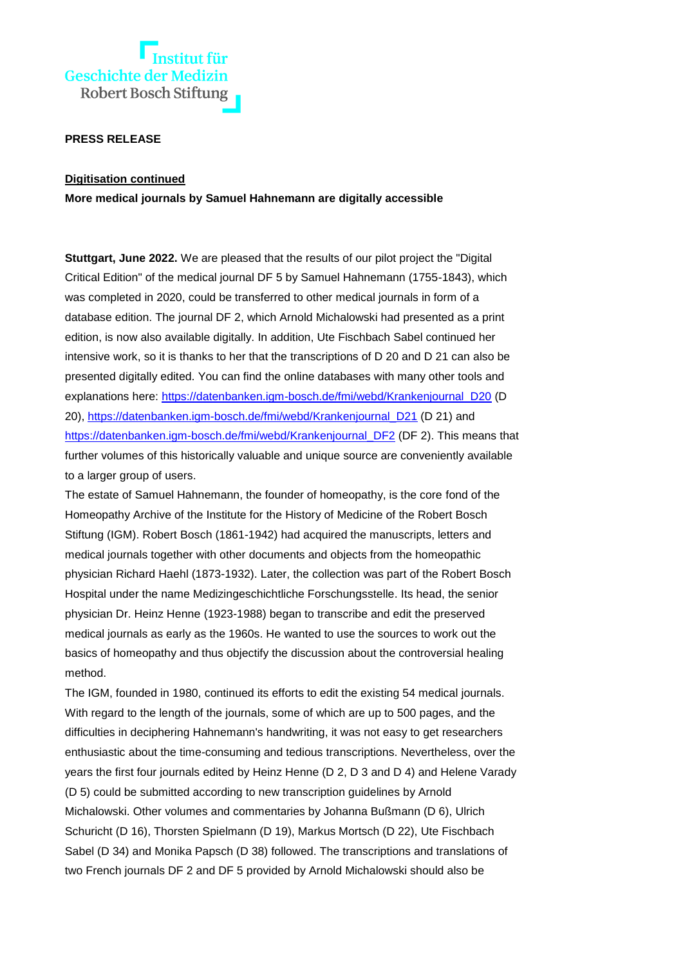

## **PRESS RELEASE**

## **Digitisation continued**

**More medical journals by Samuel Hahnemann are digitally accessible** 

**Stuttgart, June 2022.** We are pleased that the results of our pilot project the "Digital Critical Edition" of the medical journal DF 5 by Samuel Hahnemann (1755-1843), which was completed in 2020, could be transferred to other medical journals in form of a database edition. The journal DF 2, which Arnold Michalowski had presented as a print edition, is now also available digitally. In addition, Ute Fischbach Sabel continued her intensive work, so it is thanks to her that the transcriptions of D 20 and D 21 can also be presented digitally edited. You can find the online databases with many other tools and explanations here: [https://datenbanken.igm-bosch.de/fmi/webd/Krankenjournal\\_D20](https://datenbanken.igm-bosch.de/fmi/webd/Krankenjournal_D20) (D 20), [https://datenbanken.igm-bosch.de/fmi/webd/Krankenjournal\\_D21](https://datenbanken.igm-bosch.de/fmi/webd/Krankenjournal_D21) (D 21) and [https://datenbanken.igm-bosch.de/fmi/webd/Krankenjournal\\_DF2](https://datenbanken.igm-bosch.de/fmi/webd/Krankenjournal_DF2) (DF 2). This means that further volumes of this historically valuable and unique source are conveniently available to a larger group of users.

The estate of Samuel Hahnemann, the founder of homeopathy, is the core fond of the Homeopathy Archive of the Institute for the History of Medicine of the Robert Bosch Stiftung (IGM). Robert Bosch (1861-1942) had acquired the manuscripts, letters and medical journals together with other documents and objects from the homeopathic physician Richard Haehl (1873-1932). Later, the collection was part of the Robert Bosch Hospital under the name Medizingeschichtliche Forschungsstelle. Its head, the senior physician Dr. Heinz Henne (1923-1988) began to transcribe and edit the preserved medical journals as early as the 1960s. He wanted to use the sources to work out the basics of homeopathy and thus objectify the discussion about the controversial healing method.

The IGM, founded in 1980, continued its efforts to edit the existing 54 medical journals. With regard to the length of the journals, some of which are up to 500 pages, and the difficulties in deciphering Hahnemann's handwriting, it was not easy to get researchers enthusiastic about the time-consuming and tedious transcriptions. Nevertheless, over the years the first four journals edited by Heinz Henne (D 2, D 3 and D 4) and Helene Varady (D 5) could be submitted according to new transcription guidelines by Arnold Michalowski. Other volumes and commentaries by Johanna Bußmann (D 6), Ulrich Schuricht (D 16), Thorsten Spielmann (D 19), Markus Mortsch (D 22), Ute Fischbach Sabel (D 34) and Monika Papsch (D 38) followed. The transcriptions and translations of two French journals DF 2 and DF 5 provided by Arnold Michalowski should also be